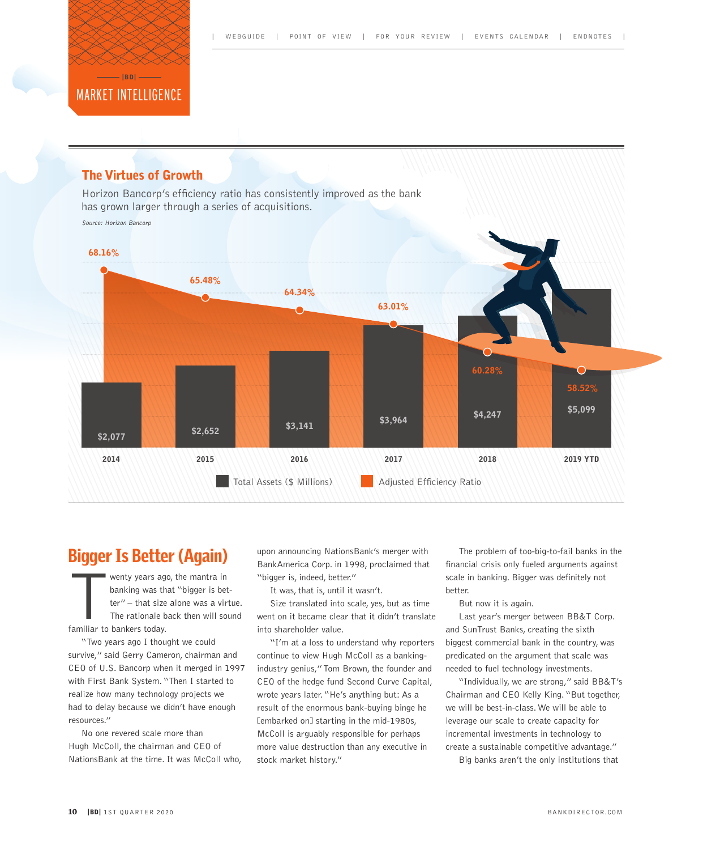

### The Virtues of Growth

Horizon Bancorp's efficiency ratio has consistently improved as the bank has grown larger through a series of acquisitions.

Source: Horizon Bancorp



# Bigger Is Better (Again)

wenty years ago, the mantra in banking was that "bigger is better" – that size alone was a virtue. The rationale back then will sound familiar to bankers today.

"Two years ago I thought we could survive," said Gerry Cameron, chairman and CEO of U.S. Bancorp when it merged in 1997 with First Bank System. "Then I started to realize how many technology projects we had to delay because we didn't have enough resources."

No one revered scale more than Hugh McColl, the chairman and CEO of NationsBank at the time. It was McColl who, upon announcing NationsBank's merger with BankAmerica Corp. in 1998, proclaimed that "bigger is, indeed, better."

It was, that is, until it wasn't.

Size translated into scale, yes, but as time went on it became clear that it didn't translate into shareholder value.

"I'm at a loss to understand why reporters continue to view Hugh McColl as a bankingindustry genius," Tom Brown, the founder and CEO of the hedge fund Second Curve Capital, wrote years later. "He's anything but: As a result of the enormous bank-buying binge he [embarked on] starting in the mid-1980s, McColl is arguably responsible for perhaps more value destruction than any executive in stock market history."

The problem of too-big-to-fail banks in the financial crisis only fueled arguments against scale in banking. Bigger was definitely not better.

But now it is again.

Last year's merger between BB&T Corp. and SunTrust Banks, creating the sixth biggest commercial bank in the country, was predicated on the argument that scale was needed to fuel technology investments.

"Individually, we are strong," said BB&T's Chairman and CEO Kelly King. "But together, we will be best-in-class. We will be able to leverage our scale to create capacity for incremental investments in technology to create a sustainable competitive advantage."

Big banks aren't the only institutions that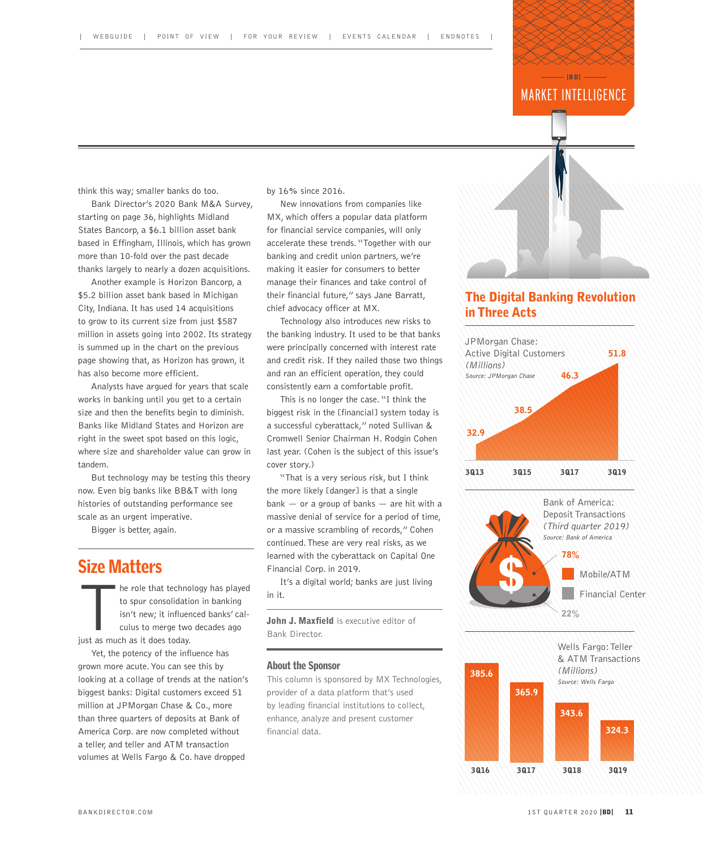#### MARKET INTELLIGENCE  $-$ IRDI $-$

think this way; smaller banks do too.

Bank Director's 2020 Bank M&A Survey, starting on page 36, highlights Midland States Bancorp, a \$6.1 billion asset bank based in Effingham, Illinois, which has grown more than 10-fold over the past decade thanks largely to nearly a dozen acquisitions.

Another example is Horizon Bancorp, a \$5.2 billion asset bank based in Michigan City, Indiana. It has used 14 acquisitions to grow to its current size from just \$587 million in assets going into 2002. Its strategy is summed up in the chart on the previous page showing that, as Horizon has grown, it has also become more efficient.

Analysts have argued for years that scale works in banking until you get to a certain size and then the benefits begin to diminish. Banks like Midland States and Horizon are right in the sweet spot based on this logic, where size and shareholder value can grow in tandem.

But technology may be testing this theory now. Even big banks like BB&T with long histories of outstanding performance see scale as an urgent imperative.

Bigger is better, again.

## Size Matters

he role that technology has played to spur consolidation in banking isn't new; it influenced banks' calculus to merge two decades ago just as much as it does today.

Yet, the potency of the influence has grown more acute. You can see this by looking at a collage of trends at the nation's biggest banks: Digital customers exceed 51 million at JPMorgan Chase & Co., more than three quarters of deposits at Bank of America Corp. are now completed without a teller, and teller and ATM transaction volumes at Wells Fargo & Co. have dropped

by 16% since 2016.

New innovations from companies like MX, which offers a popular data platform for financial service companies, will only accelerate these trends. "Together with our banking and credit union partners, we're making it easier for consumers to better manage their finances and take control of their financial future," says Jane Barratt, chief advocacy officer at MX.

Technology also introduces new risks to the banking industry. It used to be that banks were principally concerned with interest rate and credit risk. If they nailed those two things and ran an efficient operation, they could consistently earn a comfortable profit.

This is no longer the case. "I think the biggest risk in the [financial] system today is a successful cyberattack," noted Sullivan & Cromwell Senior Chairman H. Rodgin Cohen last year. (Cohen is the subject of this issue's cover story.)

"That is a very serious risk, but I think the more likely [danger] is that a single  $bank - or a group of banks - are hit with a$ massive denial of service for a period of time, or a massive scrambling of records," Cohen continued. These are very real risks, as we learned with the cyberattack on Capital One Financial Corp. in 2019.

It's a digital world; banks are just living in it.

John J. Maxfield is executive editor of Bank Director.

#### About the Sponsor

This column is sponsored by MX Technologies, provider of a data platform that's used by leading financial institutions to collect, enhance, analyze and present customer financial data.

#### The Digital Banking Revolution in Three Acts